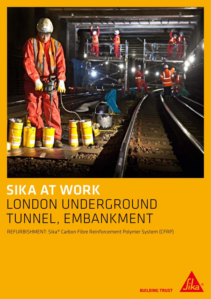

# **SIKA AT WORK** LONDON UNDERGROUND TUNNEL, EMBANKMENT

REFURBISHMENT: Sika® Carbon Fibre Reinforcement Polymer System (CFRP)



**BUILDING TRUST**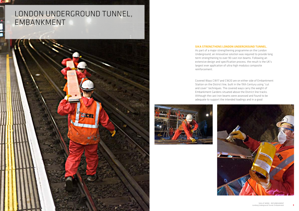## london underground tunnel, EMBANKMENT



### sika strengthens london underground tunnel.

As part of a major strengthening programme on the London Underground, an innovative solution was required to provide long term strengthening to over 90 cast iron beams. Following an extensive design and specification process, the result is the UK's largest ever application of ultra high modulus composite



reinforcement.

Covered Ways CW17 and CW20 are on either side of Embankment Station on the District line, built in the 19th Century using "cut and cover" techniques. The covered ways carry the weight of Embankment Gardens situated above the District line tracks. Although the cast iron beams were assessed and found to be adequate to support the intended loadings and in a good

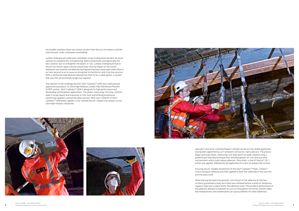serviceable condition,there was serious concern that the cast iron beams could be overstressed, under unforeseen overloading.

London Underground undertook a feasibility study to determine the best all round solution to complete this strengthening. Both economically and logistically the best solution was to strengthen the beams in-situ. London Underground had to ensure the chosen repair solution would have minimal impact on the tunnel headroom and could be installed during Engineering Hours (overnight when there is no train service) so as to cause no disruption to the District and Circle line services. With a reinforced steel element deemed too thick to be a viable option, a system that was thin yet extremely tough was required.

The solution to the challenge lay with Sika® Carbodur® UHM and a well planned application procedure. An Ultra High Modulus Carbon Fibre Reinforced Polymer (CFRP) system, Sika® Carbodur® UHM is designed for high performance and demanding reinforcement applications. The plates, measuring 7.3m long, 200mm wide (2 no per beam) and maximum 4.7mm thick and offering exceptional reinforcing capability, proved the ideal solution. With over 1,300mtr of Sika® Carbodur® UHM plates applied, it has marked the UK's largest ever project to use ultra high modulus composite.







Specialist contractor, Contrete Repairs Limited carried out the skilled application, having been appointed by LU Framework Contractor, Clancy Docwra. The process began with each beam, measuring 7.5m long and 0.5m wide, cleaned using a powerful grit blasting technique that removed grease, oil, rust and any other contaminants which could reduce adhesion. Once dried, a coat of SikaCor®-EG 1 primer was applied, followed by the application of a resin to prepare the surface.

Ensuring secure, reliable attachment of the Sika® Carbodur® Plates, Sikadur® structural epoxy adhesive was then applied to both the underside of the cast iron and the plate itself.

When placing the plate into position, full contact of the adhesive to the two surfaces guaranteed a long-term bond was achieved before a series of temporary supports were put in place whilst the adhesive cured. The excellent performance of the adhesive allowed installation to carry on throughout the winter months when low temperatures and condensation can cause problems for other adhesives.